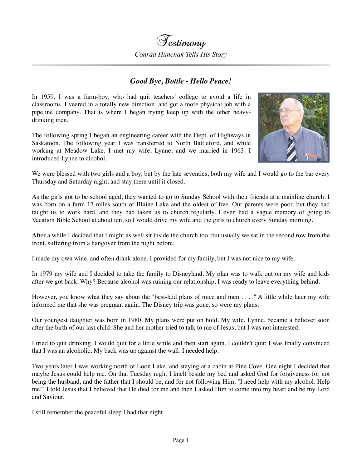## *Good Bye, Bottle - Hello Peace!*

In 1959, I was a farm-boy, who had quit teachers' college to avoid a life in classrooms. I veered in a totally new direction, and got a more physical job with a pipeline company. That is where I began trying keep up with the other heavydrinking men.

The following spring I began an engineering career with the Dept. of Highways in Saskatoon. The following year I was transferred to North Battleford, and while working at Meadow Lake, I met my wife, Lynne, and we married in 1963. I introduced Lynne to alcohol.



We were blessed with two girls and a boy, but by the late seventies, both my wife and I would go to the bar every Thursday and Saturday night, and stay there until it closed.

As the girls got to be school aged, they wanted to go to Sunday School with their friends at a mainline church. I was born on a farm 17 miles south of Blaine Lake and the oldest of five. Our parents were poor, but they had taught us to work hard, and they had taken us to church regularly. I even had a vague memory of going to Vacation Bible School at about ten, so I would drive my wife and the girls to church every Sunday morning.

After a while I decided that I might as well sit inside the church too, but usually we sat in the second row from the front, suffering from a hangover from the night before.

I made my own wine, and often drank alone. I provided for my family, but I was not nice to my wife.

In 1979 my wife and I decided to take the family to Disneyland. My plan was to walk out on my wife and kids after we got back. Why? Because alcohol was ruining our relationship. I was ready to leave everything behind.

However, you know what they say about the "best-laid plans of mice and men . . . ." A little while later my wife informed me that she was pregnant again. The Disney trip was gone, so were my plans.

Our youngest daughter was born in 1980. My plans were put on hold. My wife, Lynne, became a believer soon after the birth of our last child. She and her mother tried to talk to me of Jesus, but I was not interested.

I tried to quit drinking. I would quit for a little while and then start again. I couldn't quit; I was finally convinced that I was an alcoholic. My back was up against the wall. I needed help.

Two years later I was working north of Loon Lake, and staying at a cabin at Pine Cove. One night I decided that maybe Jesus could help me. On that Tuesday night I knelt beside my bed and asked God for forgiveness for not being the husband, and the father that I should be, and for not following Him. "I need help with my alcohol. Help me!" I told Jesus that I believed that He died for me and then I asked Him to come into my heart and be my Lord and Saviour.

I still remember the peaceful sleep I had that night.